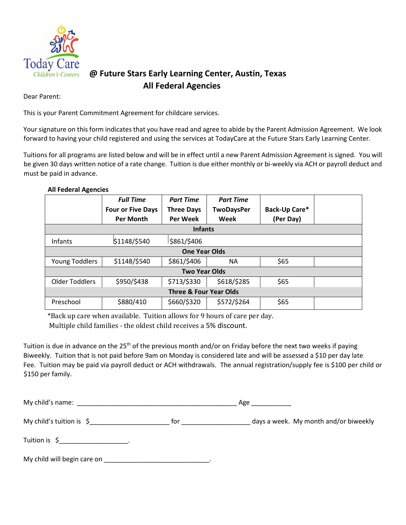

## **@ Future Stars Early Learning Center, Austin, Texas All Federal Agencies**

Dear Parent:

This is your Parent Commitment Agreement for childcare services.

Your signature on this form indicates that you have read and agree to abide by the Parent Admission Agreement. We look forward to having your child registered and using the services at TodayCare at the Future Stars Early Learning Center.

Tuitions for all programs are listed below and will be in effect until a new Parent Admission Agreement is signed. You will be given 30 days written notice of a rate change. Tuition is due either monthly or bi-weekly via ACH or payroll deduct and must be paid in advance.

## **All Federal Agencies**

|                                   | <b>Full Time</b>         | <b>Part Time</b>  | <b>Part Time</b>  |               |  |  |
|-----------------------------------|--------------------------|-------------------|-------------------|---------------|--|--|
|                                   | <b>Four or Five Days</b> | <b>Three Days</b> | <b>TwoDaysPer</b> | Back-Up Care* |  |  |
|                                   | <b>Per Month</b>         | <b>Per Week</b>   | Week              | (Per Day)     |  |  |
| <b>Infants</b>                    |                          |                   |                   |               |  |  |
| Infants                           | \$1148/\$540             | \$861/\$406       |                   |               |  |  |
| <b>One Year Olds</b>              |                          |                   |                   |               |  |  |
| Young Toddlers                    | \$1148/\$540             | \$861/\$406       | <b>NA</b>         | \$65          |  |  |
| <b>Two Year Olds</b>              |                          |                   |                   |               |  |  |
| <b>Older Toddlers</b>             | \$950/\$438              | \$713/\$330       | \$618/\$285       | \$65          |  |  |
| <b>Three &amp; Four Year Olds</b> |                          |                   |                   |               |  |  |
| Preschool                         | \$880/410                | \$660/\$320       | \$572/\$264       | \$65          |  |  |

\*Back up care when available. Tuition allows for 9 hours of care per day.

Multiple child families - the oldest child receives a 5% discount.

Tuition is due in advance on the 25<sup>th</sup> of the previous month and/or on Friday before the next two weeks if paying Biweekly. Tuition that is not paid before 9am on Monday is considered late and will be assessed a \$10 per day late Fee. Tuition may be paid via payroll deduct or ACH withdrawals. The annual registration/supply fee is \$100 per child or \$150 per family.

| My child's name: $\overline{\phantom{a}}$<br>the control of the control of the control of the control of the control of                                                                                                                                                             |     |                                       |
|-------------------------------------------------------------------------------------------------------------------------------------------------------------------------------------------------------------------------------------------------------------------------------------|-----|---------------------------------------|
| My child's tuition is $\zeta$                                                                                                                                                                                                                                                       | tor | days a week. My month and/or biweekly |
| Tuition is $\zeta$ [10] $\cdots$ [10] $\cdots$ [10] $\cdots$ [10] $\cdots$ [10] $\cdots$ [10] $\cdots$ [10] $\cdots$ [10] $\cdots$ [10] $\cdots$ [10] $\cdots$ [10] $\cdots$ [10] $\cdots$ [10] $\cdots$ [10] $\cdots$ [10] $\cdots$ [10] $\cdots$ [10] $\cdots$ [10] $\cdots$ [10] |     |                                       |
| My child will begin care on                                                                                                                                                                                                                                                         |     |                                       |